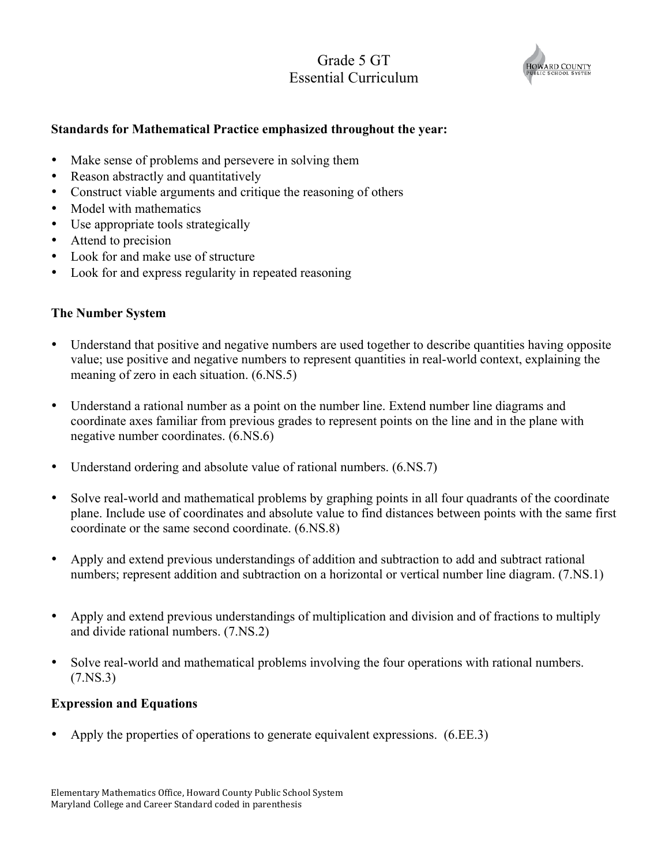# Grade 5 GT Essential Curriculum



#### **Standards for Mathematical Practice emphasized throughout the year:**

- Make sense of problems and persevere in solving them
- Reason abstractly and quantitatively
- Construct viable arguments and critique the reasoning of others
- Model with mathematics
- Use appropriate tools strategically
- Attend to precision
- Look for and make use of structure
- Look for and express regularity in repeated reasoning

#### **The Number System**

- Understand that positive and negative numbers are used together to describe quantities having opposite value; use positive and negative numbers to represent quantities in real-world context, explaining the meaning of zero in each situation. (6.NS.5)
- Understand a rational number as a point on the number line. Extend number line diagrams and coordinate axes familiar from previous grades to represent points on the line and in the plane with negative number coordinates. (6.NS.6)
- Understand ordering and absolute value of rational numbers.  $(6.NS.7)$
- Solve real-world and mathematical problems by graphing points in all four quadrants of the coordinate plane. Include use of coordinates and absolute value to find distances between points with the same first coordinate or the same second coordinate. (6.NS.8)
- Apply and extend previous understandings of addition and subtraction to add and subtract rational numbers; represent addition and subtraction on a horizontal or vertical number line diagram. (7.NS.1)
- Apply and extend previous understandings of multiplication and division and of fractions to multiply and divide rational numbers. (7.NS.2)
- Solve real-world and mathematical problems involving the four operations with rational numbers. (7.NS.3)

#### **Expression and Equations**

• Apply the properties of operations to generate equivalent expressions. (6.EE.3)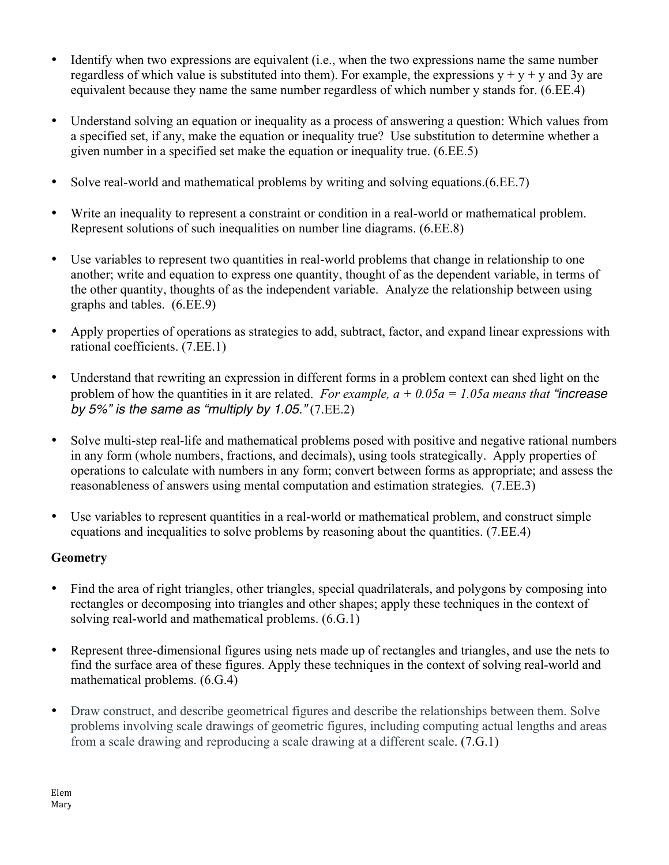- Identify when two expressions are equivalent (i.e., when the two expressions name the same number regardless of which value is substituted into them). For example, the expressions  $y + y + y$  and 3y are equivalent because they name the same number regardless of which number y stands for. (6.EE.4)
- Understand solving an equation or inequality as a process of answering a question: Which values from a specified set, if any, make the equation or inequality true? Use substitution to determine whether a given number in a specified set make the equation or inequality true. (6.EE.5)
- Solve real-world and mathematical problems by writing and solving equations.  $(6.EE.7)$
- Write an inequality to represent a constraint or condition in a real-world or mathematical problem. Represent solutions of such inequalities on number line diagrams. (6.EE.8)
- Use variables to represent two quantities in real-world problems that change in relationship to one another; write and equation to express one quantity, thought of as the dependent variable, in terms of the other quantity, thoughts of as the independent variable. Analyze the relationship between using graphs and tables. (6.EE.9)
- Apply properties of operations as strategies to add, subtract, factor, and expand linear expressions with rational coefficients. (7.EE.1)
- Understand that rewriting an expression in different forms in a problem context can shed light on the problem of how the quantities in it are related. *For example,*  $a + 0.05a = 1.05a$  *means that "increase by 5%" is the same as "multiply by 1.05."* (7.EE.2)
- Solve multi-step real-life and mathematical problems posed with positive and negative rational numbers in any form (whole numbers, fractions, and decimals), using tools strategically. Apply properties of operations to calculate with numbers in any form; convert between forms as appropriate; and assess the reasonableness of answers using mental computation and estimation strategies*.* (7.EE.3)
- Use variables to represent quantities in a real-world or mathematical problem, and construct simple equations and inequalities to solve problems by reasoning about the quantities. (7.EE.4)

## **Geometry**

- Find the area of right triangles, other triangles, special quadrilaterals, and polygons by composing into rectangles or decomposing into triangles and other shapes; apply these techniques in the context of solving real-world and mathematical problems. (6.G.1)
- Represent three-dimensional figures using nets made up of rectangles and triangles, and use the nets to find the surface area of these figures. Apply these techniques in the context of solving real-world and mathematical problems. (6.G.4)
- Draw construct, and describe geometrical figures and describe the relationships between them. Solve problems involving scale drawings of geometric figures, including computing actual lengths and areas from a scale drawing and reproducing a scale drawing at a different scale. (7.G.1)